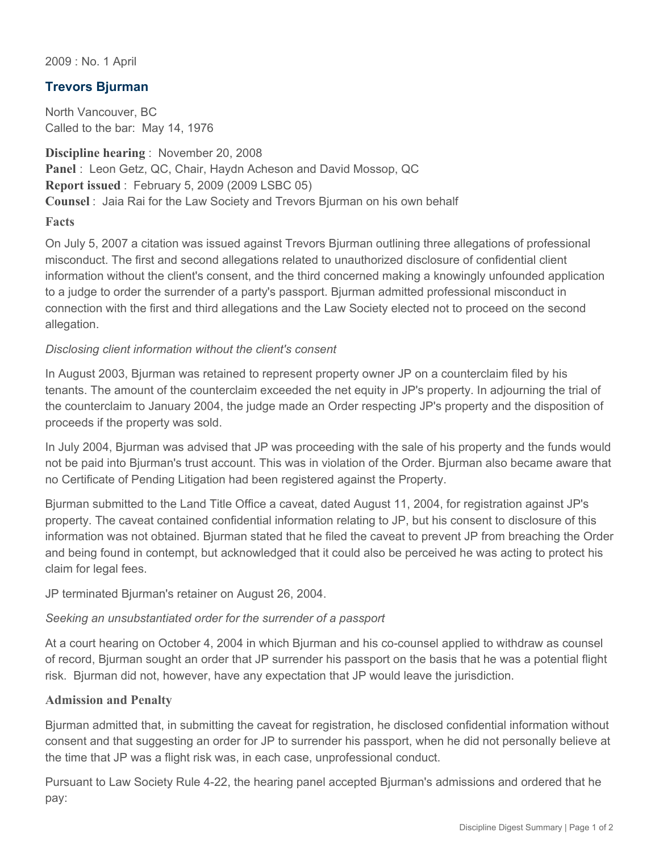2009 : No. 1 April

## **Trevors Bjurman**

North Vancouver, BC Called to the bar: May 14, 1976

**Discipline hearing** : November 20, 2008 **Panel** : Leon Getz, QC, Chair, Haydn Acheson and David Mossop, QC **Report issued** : February 5, 2009 (2009 LSBC 05) **Counsel** : Jaia Rai for the Law Society and Trevors Bjurman on his own behalf

**Facts**

On July 5, 2007 a citation was issued against Trevors Bjurman outlining three allegations of professional misconduct. The first and second allegations related to unauthorized disclosure of confidential client information without the client's consent, and the third concerned making a knowingly unfounded application to a judge to order the surrender of a party's passport. Bjurman admitted professional misconduct in connection with the first and third allegations and the Law Society elected not to proceed on the second allegation.

## *Disclosing client information without the client's consent*

In August 2003, Bjurman was retained to represent property owner JP on a counterclaim filed by his tenants. The amount of the counterclaim exceeded the net equity in JP's property. In adjourning the trial of the counterclaim to January 2004, the judge made an Order respecting JP's property and the disposition of proceeds if the property was sold.

In July 2004, Bjurman was advised that JP was proceeding with the sale of his property and the funds would not be paid into Bjurman's trust account. This was in violation of the Order. Bjurman also became aware that no Certificate of Pending Litigation had been registered against the Property.

Bjurman submitted to the Land Title Office a caveat, dated August 11, 2004, for registration against JP's property. The caveat contained confidential information relating to JP, but his consent to disclosure of this information was not obtained. Bjurman stated that he filed the caveat to prevent JP from breaching the Order and being found in contempt, but acknowledged that it could also be perceived he was acting to protect his claim for legal fees.

JP terminated Bjurman's retainer on August 26, 2004.

## *Seeking an unsubstantiated order for the surrender of a passport*

At a court hearing on October 4, 2004 in which Bjurman and his co-counsel applied to withdraw as counsel of record, Bjurman sought an order that JP surrender his passport on the basis that he was a potential flight risk. Bjurman did not, however, have any expectation that JP would leave the jurisdiction.

## **Admission and Penalty**

Bjurman admitted that, in submitting the caveat for registration, he disclosed confidential information without consent and that suggesting an order for JP to surrender his passport, when he did not personally believe at the time that JP was a flight risk was, in each case, unprofessional conduct.

Pursuant to Law Society Rule 4-22, the hearing panel accepted Bjurman's admissions and ordered that he pay: